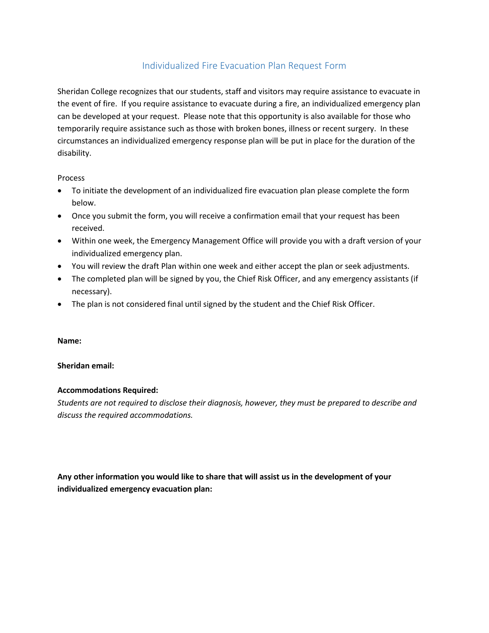# Individualized Fire Evacuation Plan Request Form

Sheridan College recognizes that our students, staff and visitors may require assistance to evacuate in the event of fire. If you require assistance to evacuate during a fire, an individualized emergency plan can be developed at your request. Please note that this opportunity is also available for those who temporarily require assistance such as those with broken bones, illness or recent surgery. In these circumstances an individualized emergency response plan will be put in place for the duration of the disability.

#### **Process**

- To initiate the development of an individualized fire evacuation plan please complete the form below.
- Once you submit the form, you will receive a confirmation email that your request has been received.
- Within one week, the Emergency Management Office will provide you with a draft version of your individualized emergency plan.
- You will review the draft Plan within one week and either accept the plan or seek adjustments.
- The completed plan will be signed by you, the Chief Risk Officer, and any emergency assistants (if necessary).
- The plan is not considered final until signed by the student and the Chief Risk Officer.

#### **Name:**

### **Sheridan email:**

## **Accommodations Required:**

*Students are not required to disclose their diagnosis, however, they must be prepared to describe and discuss the required accommodations.* 

**Any other information you would like to share that will assist us in the development of your individualized emergency evacuation plan:**